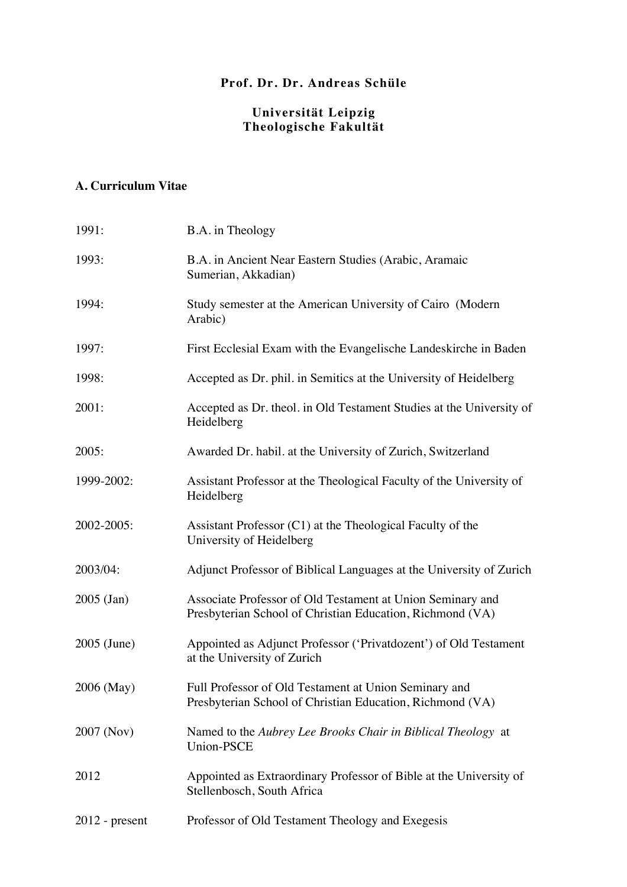# **Prof. Dr. Dr. Andreas Schüle**

#### **Universität Leipzig Theologische Fakultät**

# **A. Curriculum Vitae**

| 1991:            | B.A. in Theology                                                                                                        |
|------------------|-------------------------------------------------------------------------------------------------------------------------|
| 1993:            | B.A. in Ancient Near Eastern Studies (Arabic, Aramaic<br>Sumerian, Akkadian)                                            |
| 1994:            | Study semester at the American University of Cairo (Modern<br>Arabic)                                                   |
| 1997:            | First Ecclesial Exam with the Evangelische Landeskirche in Baden                                                        |
| 1998:            | Accepted as Dr. phil. in Semitics at the University of Heidelberg                                                       |
| 2001:            | Accepted as Dr. theol. in Old Testament Studies at the University of<br>Heidelberg                                      |
| 2005:            | Awarded Dr. habil. at the University of Zurich, Switzerland                                                             |
| 1999-2002:       | Assistant Professor at the Theological Faculty of the University of<br>Heidelberg                                       |
| 2002-2005:       | Assistant Professor (C1) at the Theological Faculty of the<br>University of Heidelberg                                  |
| 2003/04:         | Adjunct Professor of Biblical Languages at the University of Zurich                                                     |
| $2005$ (Jan)     | Associate Professor of Old Testament at Union Seminary and<br>Presbyterian School of Christian Education, Richmond (VA) |
| 2005 (June)      | Appointed as Adjunct Professor ('Privatdozent') of Old Testament<br>at the University of Zurich                         |
| 2006 (May)       | Full Professor of Old Testament at Union Seminary and<br>Presbyterian School of Christian Education, Richmond (VA)      |
| 2007 (Nov)       | Named to the Aubrey Lee Brooks Chair in Biblical Theology at<br><b>Union-PSCE</b>                                       |
| 2012             | Appointed as Extraordinary Professor of Bible at the University of<br>Stellenbosch, South Africa                        |
| $2012$ - present | Professor of Old Testament Theology and Exegesis                                                                        |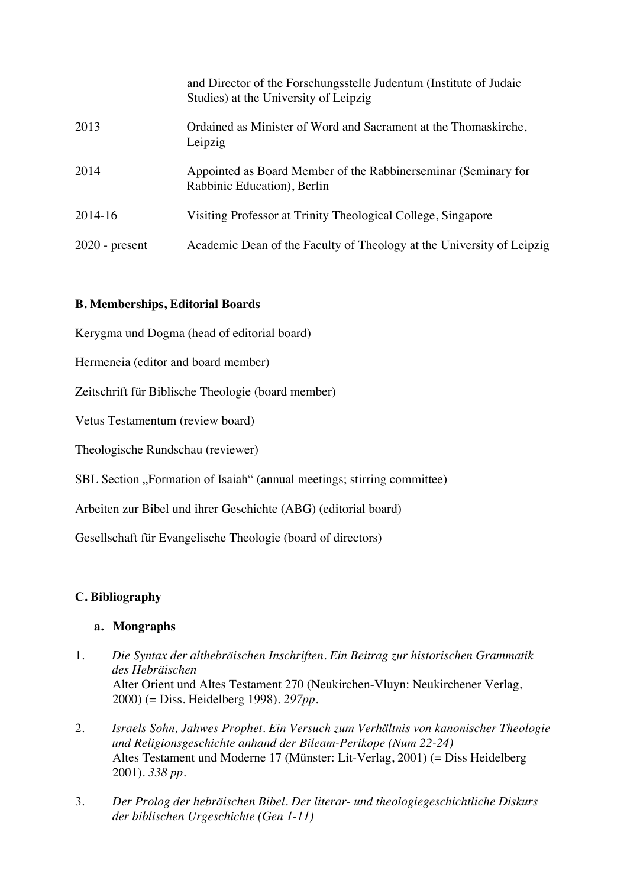|                  | and Director of the Forschungsstelle Judentum (Institute of Judaic<br>Studies) at the University of Leipzig |
|------------------|-------------------------------------------------------------------------------------------------------------|
| 2013             | Ordained as Minister of Word and Sacrament at the Thomaskirche,<br>Leipzig                                  |
| 2014             | Appointed as Board Member of the Rabbinerseminar (Seminary for<br>Rabbinic Education), Berlin               |
| 2014-16          | Visiting Professor at Trinity Theological College, Singapore                                                |
| $2020$ - present | Academic Dean of the Faculty of Theology at the University of Leipzig                                       |

# **B. Memberships, Editorial Boards**

Kerygma und Dogma (head of editorial board)

Hermeneia (editor and board member)

Zeitschrift für Biblische Theologie (board member)

Vetus Testamentum (review board)

Theologische Rundschau (reviewer)

SBL Section "Formation of Isaiah" (annual meetings; stirring committee)

Arbeiten zur Bibel und ihrer Geschichte (ABG) (editorial board)

Gesellschaft für Evangelische Theologie (board of directors)

## **C. Bibliography**

## **a. Mongraphs**

- 1. *Die Syntax der althebräischen Inschriften. Ein Beitrag zur historischen Grammatik des Hebräischen*  Alter Orient und Altes Testament 270 (Neukirchen-Vluyn: Neukirchener Verlag, 2000) (= Diss. Heidelberg 1998). *297pp.*
- 2. *Israels Sohn, Jahwes Prophet. Ein Versuch zum Verhältnis von kanonischer Theologie und Religionsgeschichte anhand der Bileam-Perikope (Num 22-24)* Altes Testament und Moderne 17 (Münster: Lit-Verlag, 2001) (= Diss Heidelberg 2001). *338 pp.*
- 3. *Der Prolog der hebräischen Bibel. Der literar- und theologiegeschichtliche Diskurs der biblischen Urgeschichte (Gen 1-11)*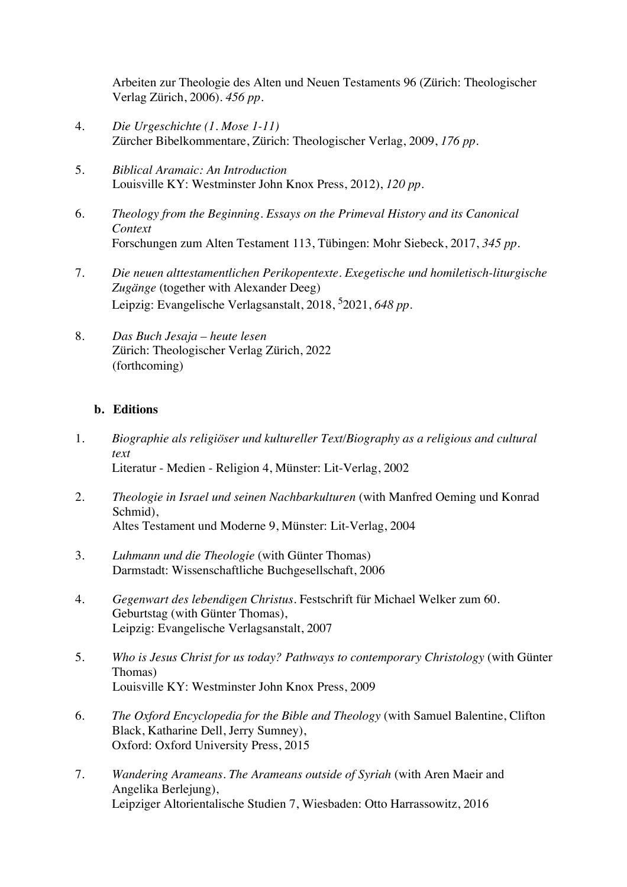Arbeiten zur Theologie des Alten und Neuen Testaments 96 (Zürich: Theologischer Verlag Zürich, 2006). *456 pp.*

- 4. *Die Urgeschichte (1. Mose 1-11)* Zürcher Bibelkommentare, Zürich: Theologischer Verlag, 2009, *176 pp*.
- 5. *Biblical Aramaic: An Introduction* Louisville KY: Westminster John Knox Press, 2012), *120 pp.*
- 6. *Theology from the Beginning. Essays on the Primeval History and its Canonical Context* Forschungen zum Alten Testament 113, Tübingen: Mohr Siebeck, 2017, *345 pp*.
- 7. *Die neuen alttestamentlichen Perikopentexte. Exegetische und homiletisch-liturgische Zugänge* (together with Alexander Deeg) Leipzig: Evangelische Verlagsanstalt, 2018, 5 2021, *648 pp.*
- 8. *Das Buch Jesaja – heute lesen* Zürich: Theologischer Verlag Zürich, 2022 (forthcoming)

#### **b. Editions**

- 1. *Biographie als religiöser und kultureller Text/Biography as a religious and cultural text* Literatur - Medien - Religion 4, Münster: Lit-Verlag, 2002
- 2. *Theologie in Israel und seinen Nachbarkulturen* (with Manfred Oeming und Konrad Schmid). Altes Testament und Moderne 9, Münster: Lit-Verlag, 2004
- 3. *Luhmann und die Theologie* (with Günter Thomas) Darmstadt: Wissenschaftliche Buchgesellschaft, 2006
- 4. *Gegenwart des lebendigen Christus.* Festschrift für Michael Welker zum 60. Geburtstag (with Günter Thomas), Leipzig: Evangelische Verlagsanstalt, 2007
- 5. *Who is Jesus Christ for us today? Pathways to contemporary Christology* (with Günter Thomas) Louisville KY: Westminster John Knox Press, 2009
- 6. *The Oxford Encyclopedia for the Bible and Theology* (with Samuel Balentine, Clifton Black, Katharine Dell, Jerry Sumney), Oxford: Oxford University Press, 2015
- 7. *Wandering Arameans. The Arameans outside of Syriah* (with Aren Maeir and Angelika Berlejung), Leipziger Altorientalische Studien 7, Wiesbaden: Otto Harrassowitz, 2016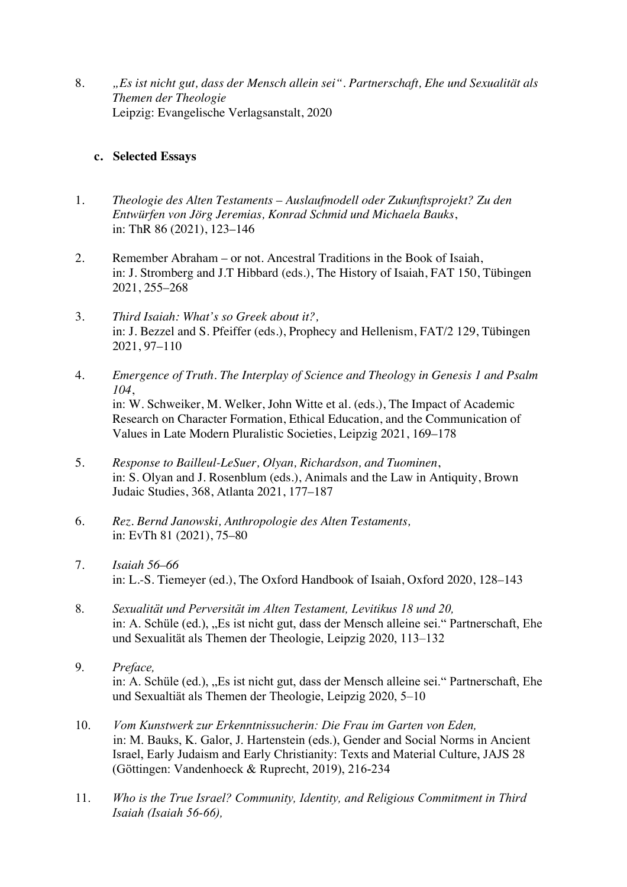8. *"Es ist nicht gut, dass der Mensch allein sei". Partnerschaft, Ehe und Sexualität als Themen der Theologie* Leipzig: Evangelische Verlagsanstalt, 2020

#### **c. Selected Essays**

- 1. *Theologie des Alten Testaments – Auslaufmodell oder Zukunftsprojekt? Zu den Entwürfen von Jörg Jeremias, Konrad Schmid und Michaela Bauks*, in: ThR 86 (2021), 123–146
- 2. Remember Abraham or not. Ancestral Traditions in the Book of Isaiah, in: J. Stromberg and J.T Hibbard (eds.), The History of Isaiah, FAT 150, Tübingen 2021, 255–268
- 3. *Third Isaiah: What's so Greek about it?,* in: J. Bezzel and S. Pfeiffer (eds.), Prophecy and Hellenism, FAT/2 129, Tübingen 2021, 97–110
- 4. *Emergence of Truth. The Interplay of Science and Theology in Genesis 1 and Psalm 104*, in: W. Schweiker, M. Welker, John Witte et al. (eds.), The Impact of Academic Research on Character Formation, Ethical Education, and the Communication of Values in Late Modern Pluralistic Societies, Leipzig 2021, 169–178
- 5. *Response to Bailleul-LeSuer, Olyan, Richardson, and Tuominen*, in: S. Olyan and J. Rosenblum (eds.), Animals and the Law in Antiquity, Brown Judaic Studies, 368, Atlanta 2021, 177–187
- 6. *Rez. Bernd Janowski, Anthropologie des Alten Testaments,* in: EvTh 81 (2021), 75–80
- 7. *Isaiah 56–66* in: L.-S. Tiemeyer (ed.), The Oxford Handbook of Isaiah, Oxford 2020, 128–143
- 8. *Sexualität und Perversität im Alten Testament, Levitikus 18 und 20,* in: A. Schüle (ed.), "Es ist nicht gut, dass der Mensch alleine sei." Partnerschaft, Ehe und Sexualität als Themen der Theologie, Leipzig 2020, 113–132
- 9. *Preface,* in: A. Schüle (ed.), "Es ist nicht gut, dass der Mensch alleine sei." Partnerschaft, Ehe und Sexualtiät als Themen der Theologie, Leipzig 2020, 5–10
- 10. *Vom Kunstwerk zur Erkenntnissucherin: Die Frau im Garten von Eden,* in: M. Bauks, K. Galor, J. Hartenstein (eds.), Gender and Social Norms in Ancient Israel, Early Judaism and Early Christianity: Texts and Material Culture, JAJS 28 (Göttingen: Vandenhoeck & Ruprecht, 2019), 216-234
- 11. *Who is the True Israel? Community, Identity, and Religious Commitment in Third Isaiah (Isaiah 56-66),*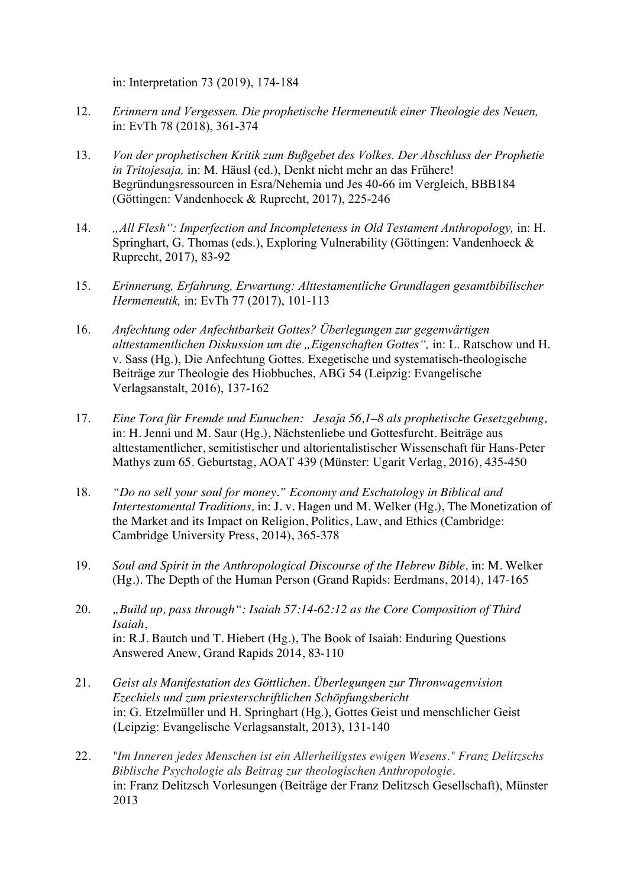in: Interpretation 73 (2019), 174-184

- 12. *Erinnern und Vergessen. Die prophetische Hermeneutik einer Theologie des Neuen,*  in: EvTh 78 (2018), 361-374
- 13. *Von der prophetischen Kritik zum Bußgebet des Volkes. Der Abschluss der Prophetie in Tritojesaja,* in: M. Häusl (ed.), Denkt nicht mehr an das Frühere! Begründungsressourcen in Esra/Nehemia und Jes 40-66 im Vergleich, BBB184 (Göttingen: Vandenhoeck & Ruprecht, 2017), 225-246
- 14. *"All Flesh": Imperfection and Incompleteness in Old Testament Anthropology,* in: H. Springhart, G. Thomas (eds.), Exploring Vulnerability (Göttingen: Vandenhoeck & Ruprecht, 2017), 83-92
- 15. *Erinnerung, Erfahrung, Erwartung: Alttestamentliche Grundlagen gesamtbibilischer Hermeneutik,* in: EvTh 77 (2017), 101-113
- 16. *Anfechtung oder Anfechtbarkeit Gottes? Überlegungen zur gegenwärtigen alttestamentlichen Diskussion um die "Eigenschaften Gottes",* in: L. Ratschow und H. v. Sass (Hg.), Die Anfechtung Gottes. Exegetische und systematisch-theologische Beiträge zur Theologie des Hiobbuches, ABG 54 (Leipzig: Evangelische Verlagsanstalt, 2016), 137-162
- 17. *Eine Tora für Fremde und Eunuchen: Jesaja 56,1–8 als prophetische Gesetzgebung,*  in: H. Jenni und M. Saur (Hg.), Nächstenliebe und Gottesfurcht. Beiträge aus alttestamentlicher, semitistischer und altorientalistischer Wissenschaft für Hans-Peter Mathys zum 65. Geburtstag, AOAT 439 (Münster: Ugarit Verlag, 2016), 435-450
- 18. *"Do no sell your soul for money." Economy and Eschatology in Biblical and Intertestamental Traditions,* in: J. v. Hagen und M. Welker (Hg.), The Monetization of the Market and its Impact on Religion, Politics, Law, and Ethics (Cambridge: Cambridge University Press, 2014), 365-378
- 19. *Soul and Spirit in the Anthropological Discourse of the Hebrew Bible,* in: M. Welker (Hg.). The Depth of the Human Person (Grand Rapids: Eerdmans, 2014), 147-165
- 20. *"Build up, pass through": Isaiah 57:14-62:12 as the Core Composition of Third Isaiah*, in: R.J. Bautch und T. Hiebert (Hg.), The Book of Isaiah: Enduring Questions Answered Anew, Grand Rapids 2014, 83-110
- 21. *Geist als Manifestation des Göttlichen. Überlegungen zur Thronwagenvision Ezechiels und zum priesterschriftlichen Schöpfungsbericht* in: G. Etzelmüller und H. Springhart (Hg.), Gottes Geist und menschlicher Geist (Leipzig: Evangelische Verlagsanstalt, 2013), 131-140
- 22. *"Im Inneren jedes Menschen ist ein Allerheiligstes ewigen Wesens." Franz Delitzschs Biblische Psychologie als Beitrag zur theologischen Anthropologie.* in: Franz Delitzsch Vorlesungen (Beiträge der Franz Delitzsch Gesellschaft), Münster 2013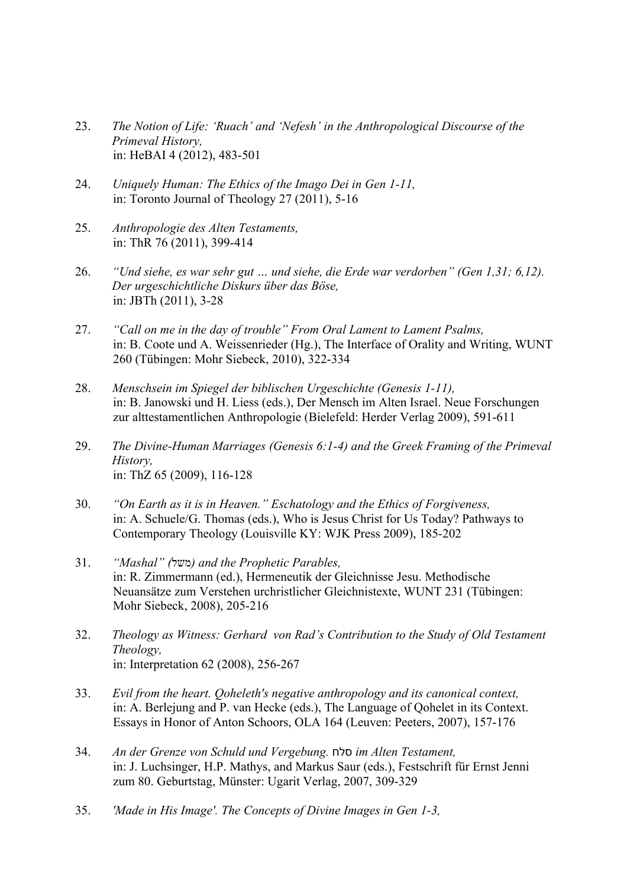- 23. *The Notion of Life: 'Ruach' and 'Nefesh' in the Anthropological Discourse of the Primeval History,* in: HeBAI 4 (2012), 483-501
- 24. *Uniquely Human: The Ethics of the Imago Dei in Gen 1-11,* in: Toronto Journal of Theology 27 (2011), 5-16
- 25. *Anthropologie des Alten Testaments,* in: ThR 76 (2011), 399-414
- 26. *"Und siehe, es war sehr gut … und siehe, die Erde war verdorben" (Gen 1,31; 6,12). Der urgeschichtliche Diskurs über das Böse,* in: JBTh (2011), 3-28
- 27. *"Call on me in the day of trouble" From Oral Lament to Lament Psalms,* in: B. Coote und A. Weissenrieder (Hg.), The Interface of Orality and Writing, WUNT 260 (Tübingen: Mohr Siebeck, 2010), 322-334
- 28. *Menschsein im Spiegel der biblischen Urgeschichte (Genesis 1-11),* in: B. Janowski und H. Liess (eds.), Der Mensch im Alten Israel. Neue Forschungen zur alttestamentlichen Anthropologie (Bielefeld: Herder Verlag 2009), 591-611
- 29. *The Divine-Human Marriages (Genesis 6:1-4) and the Greek Framing of the Primeval History,* in: ThZ 65 (2009), 116-128
- 30. *"On Earth as it is in Heaven." Eschatology and the Ethics of Forgiveness,* in: A. Schuele/G. Thomas (eds.), Who is Jesus Christ for Us Today? Pathways to Contemporary Theology (Louisville KY: WJK Press 2009), 185-202
- 31. *"Mashal" (* לשמ *( and the Prophetic Parables,* in: R. Zimmermann (ed.), Hermeneutik der Gleichnisse Jesu. Methodische Neuansätze zum Verstehen urchristlicher Gleichnistexte, WUNT 231 (Tübingen: Mohr Siebeck, 2008), 205-216
- 32. *Theology as Witness: Gerhard von Rad's Contribution to the Study of Old Testament Theology,* in: Interpretation 62 (2008), 256-267
- 33. *Evil from the heart. Qoheleth's negative anthropology and its canonical context,* in: A. Berlejung and P. van Hecke (eds.), The Language of Qohelet in its Context. Essays in Honor of Anton Schoors, OLA 164 (Leuven: Peeters, 2007), 157-176
- 34. *An der Grenze von Schuld und Vergebung.* חלס *im Alten Testament,* in: J. Luchsinger, H.P. Mathys, and Markus Saur (eds.), Festschrift für Ernst Jenni zum 80. Geburtstag, Münster: Ugarit Verlag, 2007, 309-329
- 35. *'Made in His Image'. The Concepts of Divine Images in Gen 1-3,*